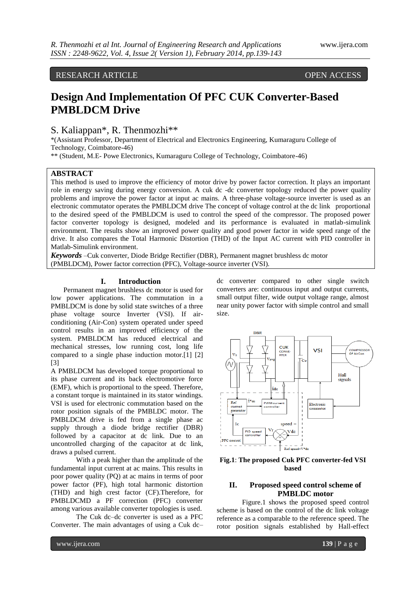RESEARCH ARTICLE OPEN ACCESS

# **Design And Implementation Of PFC CUK Converter-Based PMBLDCM Drive**

# S. Kaliappan\*, R. Thenmozhi\*\*

\*(Assistant Professor, Department of Electrical and Electronics Engineering, Kumaraguru College of Technology, Coimbatore-46)

\*\* (Student, M.E- Powe Electronics, Kumaraguru College of Technology, Coimbatore-46)

#### **ABSTRACT**

This method is used to improve the efficiency of motor drive by power factor correction. It plays an important role in energy saving during energy conversion. A cuk dc -dc converter topology reduced the power quality problems and improve the power factor at input ac mains. A three-phase voltage-source inverter is used as an electronic commutator operates the PMBLDCM drive The concept of voltage control at the dc link proportional to the desired speed of the PMBLDCM is used to control the speed of the compressor. The proposed power factor converter topology is designed, modeled and its performance is evaluated in matlab-simulink environment. The results show an improved power quality and good power factor in wide speed range of the drive. It also compares the Total Harmonic Distortion (THD) of the Input AC current with PID controller in Matlab-Simulink environment.

*Keywords* –Cuk converter, Diode Bridge Rectifier (DBR), Permanent magnet brushless dc motor (PMBLDCM), Power factor correction (PFC), Voltage-source inverter (VSI)*.*

#### **I. Introduction**

Permanent magnet brushless dc motor is used for low power applications. The commutation in a PMBLDCM is done by solid state switches of a three phase voltage source Inverter (VSI). If airconditioning (Air-Con) system operated under speed control results in an improved efficiency of the system. PMBLDCM has reduced electrical and mechanical stresses, low running cost, long life compared to a single phase induction motor.[1] [2] [3]

A PMBLDCM has developed torque proportional to its phase current and its back electromotive force (EMF), which is proportional to the speed. Therefore, a constant torque is maintained in its stator windings. VSI is used for electronic commutation based on the rotor position signals of the PMBLDC motor. The PMBLDCM drive is fed from a single phase ac supply through a diode bridge rectifier (DBR) followed by a capacitor at dc link. Due to an uncontrolled charging of the capacitor at dc link, draws a pulsed current.

With a peak higher than the amplitude of the fundamental input current at ac mains. This results in poor power quality (PQ) at ac mains in terms of poor power factor (PF), high total harmonic distortion (THD) and high crest factor (CF).Therefore, for PMBLDCMD a PF correction (PFC) converter among various available converter topologies is used.

The Cuk dc–dc converter is used as a PFC Converter. The main advantages of using a Cuk dc–

dc converter compared to other single switch converters are: continuous input and output currents, small output filter, wide output voltage range, almost near unity power factor with simple control and small size.



**Fig.1**: **The proposed Cuk PFC converter-fed VSI based**

# **II. Proposed speed control scheme of PMBLDC motor**

Figure.1 shows the proposed speed control scheme is based on the control of the dc link voltage reference as a comparable to the reference speed. The rotor position signals established by Hall-effect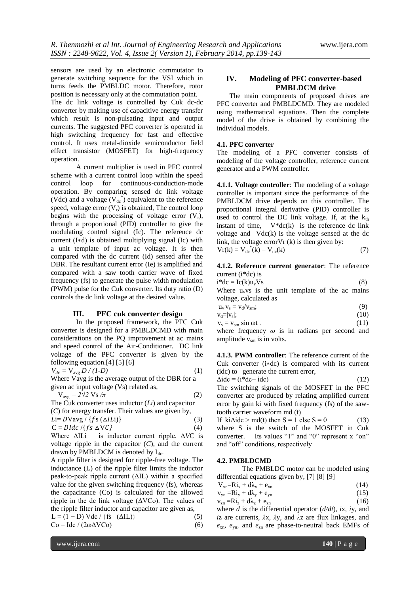sensors are used by an electronic commutator to generate switching sequence for the VSI which in turns feeds the PMBLDC motor. Therefore, rotor position is necessary only at the commutation point. The dc link voltage is controlled by Cuk dc-dc converter by making use of capacitive energy transfer which result is non-pulsating input and output currents. The suggested PFC converter is operated in

high switching frequency for fast and effective control. It uses metal-dioxide semiconductor field effect transistor (MOSFET) for high-frequency operation.

A current multiplier is used in PFC control scheme with a current control loop within the speed control loop for continuous-conduction-mode operation. By comparing sensed dc link voltage (Vdc) and a voltage ( $V_{dc}^*$ ) equivalent to the reference speed, voltage error  $(V_r)$  is obtained, The control loop begins with the processing of voltage error  $(V_r)$ , through a proportional (PID) controller to give the modulating control signal (Ic). The reference dc current (I∗d) is obtained multiplying signal (Ic) with a unit template of input ac voltage. It is then compared with the dc current (Id) sensed after the DBR. The resultant current error (Ie) is amplified and compared with a saw tooth carrier wave of fixed frequency (fs) to generate the pulse width modulation (PWM) pulse for the Cuk converter. Its duty ratio (D) controls the dc link voltage at the desired value.

#### **III. PFC cuk converter design**

In the proposed framework, the PFC Cuk converter is designed for a PMBLDCMD with main considerations on the PQ improvement at ac mains and speed control of the Air-Conditioner. DC link voltage of the PFC converter is given by the following equation.[4] [5] [6]

$$
V_{dc} = V_{avg} D / (1-D)
$$
 (1)

Where Vavg is the average output of the DBR for a given ac input voltage (Vs) related as,

$$
V_{avg} = 2\sqrt{2} Vs / \pi
$$
 (2)

The Cuk converter uses inductor (*Li*) and capacitor (*C*) for energy transfer. Their values are given by,

$$
Li = D V \text{avg} / \{fs (\Delta ILi) \}
$$
\n
$$
C = DIdc / \{fs \Delta VC\}
$$
\n(3)\n(4)

Where ΔILi is inductor current ripple, Δ*V*C is voltage ripple in the capacitor  $(C)$ , and the current drawn by PMBLDCM is denoted by  $I_{dc}$ .

A ripple filter is designed for ripple-free voltage. The inductance (L) of the ripple filter limits the inductor peak-to-peak ripple current (ΔIL) within a specified value for the given switching frequency (fs), whereas the capacitance (Co) is calculated for the allowed ripple in the dc link voltage  $(\Delta V C_0)$ . The values of the ripple filter inductor and capacitor are given as,

L = (1 − D) Vdc / {fs ( $\Delta$ IL)} (5)  $Co = Idc / (2\omega \Delta V Co)$  (6)

#### **IV. Modeling of PFC converter-based PMBLDCM drive**

The main components of proposed drives are PFC converter and PMBLDCMD. They are modeled using mathematical equations. Then the complete model of the drive is obtained by combining the individual models.

#### **4.1. PFC converter**

The modeling of a PFC converter consists of modeling of the voltage controller, reference current generator and a PWM controller.

**4.1.1. Voltage controller**: The modeling of a voltage controller is important since the performance of the PMBLDCM drive depends on this controller. The proportional integral derivative (PID) controller is used to control the DC link voltage. If, at the  $k<sub>th</sub>$ instant of time,  $V * dc(k)$  is the reference dc link voltage and Vdc(k) is the voltage sensed at the dc link, the voltage error $Vr$  (k) is then given by:  $V$ r( \*

$$
V_{dc}^{(k)} = V_{dc}^{(k)} - V_{dc}(k) \tag{7}
$$

**4.1.2. Reference current generator**: The reference current (i\*dc) is

$$
i^*dc = Ic(k)u_vVs
$$
 (8)

Where  $u_v$  vs is the unit template of the ac mains voltage, calculated as

$$
\mathbf{u}_{\mathbf{v}} \mathbf{v}_{\mathbf{s}} = \mathbf{v}_{\mathbf{d}} / \mathbf{v}_{\mathbf{s}\mathbf{m}}; \tag{9}
$$

$$
\mathbf{v}_d = |\mathbf{v}_s|; \tag{10}
$$

 $v_s = v_{sm} \sin \omega t$  . (11) where frequency *ω* is in radians per second and amplitude  $v_{\rm sm}$  is in volts.

**4.1.3. PWM controller**: The reference current of the Cuk converter (i∗dc) is compared with its current (idc) to generate the current error,

$$
\Delta \text{ide} = (\text{i}^* \text{dc} - \text{idc}) \tag{12}
$$

The switching signals of the MOSFET in the PFC converter are produced by relating amplified current error by gain ki with fixed frequency (fs) of the sawtooth carrier waveform md (t)

If ki $\Delta$ idc > md(t) then S = 1 else S = 0 (13) where S is the switch of the MOSFET in Cuk converter. Its values "1" and "0" represent x "on" and "off" conditions, respectively

#### **4.2. PMBLDCMD**

The PMBLDC motor can be modeled using differential equations given by, [7] [8] [9]

| $V_{xn} = Ri_x + d\lambda_x + e_{xn}$<br>(14) |  |
|-----------------------------------------------|--|
|-----------------------------------------------|--|

| $v_{yn} = Ri_y + d\lambda_y + e_{yn}$ | (15) |
|---------------------------------------|------|
|                                       |      |

| $v_{zn} = Ri_z + d\lambda_z + e_{zn}$ |      |  |  | (16) |
|---------------------------------------|------|--|--|------|
|                                       | ---- |  |  |      |

where *d* is the differential operator (*d/dt*), *i*x, *i*y, and *i*z are currents, *λ*x, *λ*y, and *λ*z are flux linkages, and  $e_{\rm xn}$ ,  $e_{\rm yn}$ , and  $e_{\rm zn}$  are phase-to-neutral back EMFs of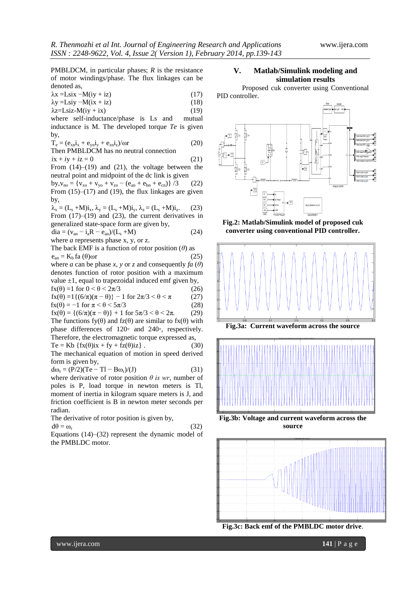PMBLDCM, in particular phases; *R* is the resistance of motor windings/phase. The flux linkages can be denoted as,

 $\lambda$ x =Lsix −M(iy + iz) (17)  $\lambda y = Lsiy - M(ix + iz)$  (18)

 $\lambda$ z=Lsiz-M(iy + ix) (19)

where self-inductance/phase is Ls and mutual inductance is M. The developed torque *Te* is given by,

 $T_e = (e_{xn}i_x + e_{yn}i_y + e_{zn}i_z)/\omega r$  (20)

Then PMBLDCM has no neutral connection  

$$
ix + iy + iz = 0
$$
 (21)

From (14)–(19) and (21), the voltage between the neutral point and midpoint of the dc link is given

by,  $v_{no} = \{v_{xo} + v_{yo} + v_{zo} - (e_{an} + e_{bn} + e_{cn})\}/3$  (22) From  $(15)$ – $(17)$  and  $(19)$ , the flux linkages are given by,

 $\lambda_x = (L_s + M)\mathbf{i}_x, \lambda_y = (L_s + M)\mathbf{i}_y, \lambda_z = (L_s + M)\mathbf{i}_z.$  $(23)$ From  $(17)$ – $(19)$  and  $(23)$ , the current derivatives in generalized state-space form are given by,  $dia = (v_{an} - i_aR - e_{an})/(L_s + M)$  (24)

where *a* represents phase x, y, or z.

The back EMF is a function of rotor position (*θ*) as  $e_{\text{an}} = K_b \text{fa} (\theta) \omega r$  (25) where *a* can be phase *x*, *y* or *z* and consequently  $fa(\theta)$ denotes function of rotor position with a maximum value  $\pm 1$ , equal to trapezoidal induced emf given by,

$$
f_X(\theta) = 1 \text{ for } 0 < \theta < 2\pi/3 \tag{26}
$$
\n
$$
f_X(\theta) = 1 \left( \frac{6}{\pi} \right) (\pi - \theta) = 1 \text{ for } 2\pi/3 < \theta < \pi \tag{27}
$$

$$
fx(\theta) = 1\{(6/\pi)(\pi - \theta)\} - 1 \text{ for } 2\pi/3 < \theta < \pi
$$
 (27)  

$$
fx(\theta) = -1 \text{ for } \pi < \theta < 5\pi/3
$$
 (28)

 $f_{X}(\theta) = \{(6/\pi)(\pi - \theta)\} + 1$  for  $5\pi/3 < \theta < 2\pi$ . (29) The functions  $f(y(\theta))$  and  $f(z(\theta))$  are similar to  $f(x(\theta))$  with phase differences of 120◦ and 240◦, respectively. Therefore, the electromagnetic torque expressed as,

 $Te = Kb \{fx(\theta)ix + fy + fz(\theta)iz\}.$  (30) The mechanical equation of motion in speed derived form is given by,

$$
d\omega_r = (P/2)(Te - Tl - B\omega_r)/(J)
$$
 (31)

where derivative of rotor position  $\theta$  is wr, number of poles is P, load torque in newton meters is Tl, moment of inertia in kilogram square meters is J, and friction coefficient is B in newton meter seconds per radian.

The derivative of rotor position is given by,

$$
d\theta = \omega_r \tag{32}
$$

Equations (14)–(32) represent the dynamic model of the PMBLDC motor.

#### **V. Matlab/Simulink modeling and simulation results**

Proposed cuk converter using Conventional PID controller.



**Fig.2: Matlab/Simulink model of proposed cuk converter using conventional PID controller.**







**Fig.3b: Voltage and current waveform across the source**



**Fig.3c: Back emf of the PMBLDC motor drive**.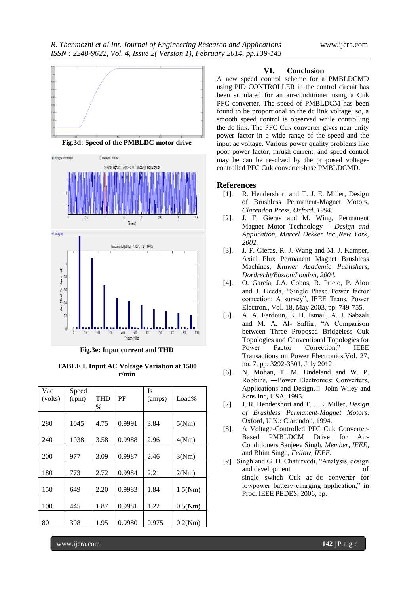

**Fig.3d: Speed of the PMBLDC motor drive**



**Fig.3e: Input current and THD**

| <b>TABLE I. Input AC Voltage Variation at 1500</b> |
|----------------------------------------------------|
| r/min                                              |

| Vac<br>(volts) | Speed<br>(rpm) | <b>THD</b><br>$\frac{0}{0}$ | PF     | Is<br>(amps) | Load%   |
|----------------|----------------|-----------------------------|--------|--------------|---------|
| 280            | 1045           | 4.75                        | 0.9991 | 3.84         | 5(Nm)   |
| 240            | 1038           | 3.58                        | 0.9988 | 2.96         | 4(Nm)   |
| 200            | 977            | 3.09                        | 0.9987 | 2.46         | 3(Nm)   |
| 180            | 773            | 2.72                        | 0.9984 | 2.21         | 2(Nm)   |
| 150            | 649            | 2.20                        | 0.9983 | 1.84         | 1.5(Nm) |
| 100            | 445            | 1.87                        | 0.9981 | 1.22         | 0.5(Nm) |
| 80             | 398            | 1.95                        | 0.9980 | 0.975        | 0.2(Nm) |

#### **VI. Conclusion**

A new speed control scheme for a PMBLDCMD using PID CONTROLLER in the control circuit has been simulated for an air-conditioner using a Cuk PFC converter. The speed of PMBLDCM has been found to be proportional to the dc link voltage; so, a smooth speed control is observed while controlling the dc link. The PFC Cuk converter gives near unity power factor in a wide range of the speed and the input ac voltage. Various power quality problems like poor power factor, inrush current, and speed control may be can be resolved by the proposed voltagecontrolled PFC Cuk converter-base PMBLDCMD.

### **References**

- [1]. R. Hendershort and T. J. E. Miller, Design of Brushless Permanent-Magnet Motors, *Clarendon Press, Oxford, 1994.*
- [2]. J. F. Gieras and M. Wing, Permanent Magnet Motor Technology *– Design and Application, Marcel Dekker Inc.,New York, 2002.*
- [3]. J. F. Gieras, R. J. Wang and M. J. Kamper, Axial Flux Permanent Magnet Brushless Machines, *Kluwer Academic Publishers, Dordrecht/Boston/London, 2004.*
- [4]. O. García, J.A. Cobos, R. Prieto, P. Alou and J. Uceda, "Single Phase Power factor correction: A survey", IEEE Trans. Power Electron., Vol. 18, May 2003, pp. 749-755.
- [5]. A. A. Fardoun, E. H. Ismail, A. J. Sabzali and M. A. Al- Saffar, "A Comparison between Three Proposed Bridgeless Cuk Topologies and Conventional Topologies for Power Factor Correction," IEEE Transactions on Power Electronics,Vol. 27, no. 7, pp. 3292-3301, July 2012.
- [6]. N. Mohan, T. M. Undeland and W. P. Robbins, ―Power Electronics: Converters, Applications and Design,□ John Wiley and Sons Inc, USA, 1995.
- [7]. J. R. Hendershort and T. J. E. Miller, *Design of Brushless Permanent-Magnet Motors*. Oxford, U.K.: Clarendon, 1994.
- [8]. A Voltage-Controlled PFC Cuk Converter-Based PMBLDCM Drive for Air-Conditioners Sanjeev Singh, *Member, IEEE*, and Bhim Singh, *Fellow, IEEE.*
- [9]. Singh and G. D. Chaturvedi, "Analysis, design and development of single switch Cuk ac–dc converter for lowpower battery charging application," in Proc. IEEE PEDES, 2006, pp.

www.ijera.com **142** | P a g e